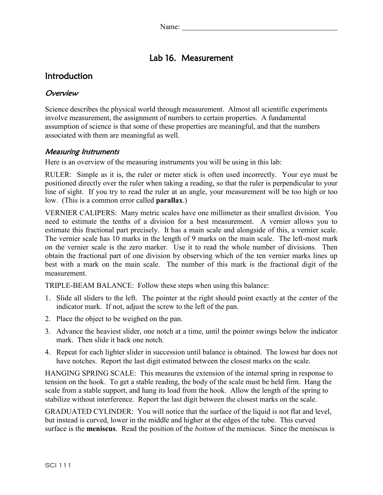# Lab 16. Measurement

# Introduction

### **Overview**

Science describes the physical world through measurement. Almost all scientific experiments involve measurement, the assignment of numbers to certain properties. A fundamental assumption of science is that some of these properties are meaningful, and that the numbers associated with them are meaningful as well.

### Measuring Instruments

Here is an overview of the measuring instruments you will be using in this lab:

RULER: Simple as it is, the ruler or meter stick is often used incorrectly. Your eye must be positioned directly over the ruler when taking a reading, so that the ruler is perpendicular to your line of sight. If you try to read the ruler at an angle, your measurement will be too high or too low. (This is a common error called **parallax**.)

VERNIER CALIPERS: Many metric scales have one millimeter as their smallest division. You need to estimate the tenths of a division for a best measurement. A vernier allows you to estimate this fractional part precisely. It has a main scale and alongside of this, a vernier scale. The vernier scale has 10 marks in the length of 9 marks on the main scale. The left-most mark on the vernier scale is the zero marker. Use it to read the whole number of divisions. Then obtain the fractional part of one division by observing which of the ten vernier marks lines up best with a mark on the main scale. The number of this mark is the fractional digit of the measurement.

TRIPLE-BEAM BALANCE: Follow these steps when using this balance:

- 1. Slide all sliders to the left. The pointer at the right should point exactly at the center of the indicator mark. If not, adjust the screw to the left of the pan.
- 2. Place the object to be weighed on the pan.
- 3. Advance the heaviest slider, one notch at a time, until the pointer swings below the indicator mark. Then slide it back one notch.
- 4. Repeat for each lighter slider in succession until balance is obtained. The lowest bar does not have notches. Report the last digit estimated between the closest marks on the scale.

HANGING SPRING SCALE: This measures the extension of the internal spring in response to tension on the hook. To get a stable reading, the body of the scale must be held firm. Hang the scale from a stable support, and hang its load from the hook. Allow the length of the spring to stabilize without interference. Report the last digit between the closest marks on the scale.

GRADUATED CYLINDER: You will notice that the surface of the liquid is not flat and level, but instead is curved, lower in the middle and higher at the edges of the tube. This curved surface is the **meniscus**. Read the position of the *bottom* of the meniscus. Since the meniscus is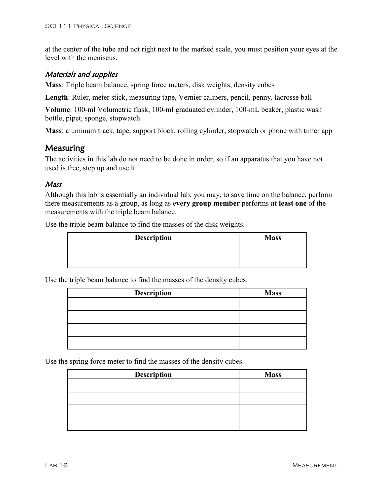at the center of the tube and not right next to the marked scale, you must position your eyes at the level with the meniscus.

#### Materials and supplies

**Mass**: Triple beam balance, spring force meters, disk weights, density cubes

**Length**: Ruler, meter stick, measuring tape, Vernier calipers, pencil, penny, lacrosse ball

**Volume**: 100-ml Volumetric flask, 100-ml graduated cylinder, 100-mL beaker, plastic wash bottle, pipet, sponge, stopwatch

**Mass**: aluminum track, tape, support block, rolling cylinder, stopwatch or phone with timer app

## Measuring

The activities in this lab do not need to be done in order, so if an apparatus that you have not used is free, step up and use it.

### **Mass**

Although this lab is essentially an individual lab, you may, to save time on the balance, perform there measurements as a group, as long as **every group member** performs **at least one** of the measurements with the triple beam balance.

Use the triple beam balance to find the masses of the disk weights.

| <b>Description</b> | <b>Mass</b> |
|--------------------|-------------|
|                    |             |
|                    |             |

Use the triple beam balance to find the masses of the density cubes.

| <b>Description</b> | <b>Mass</b> |
|--------------------|-------------|
|                    |             |
|                    |             |
|                    |             |
|                    |             |

Use the spring force meter to find the masses of the density cubes.

| <b>Description</b> | <b>Mass</b> |
|--------------------|-------------|
|                    |             |
|                    |             |
|                    |             |
|                    |             |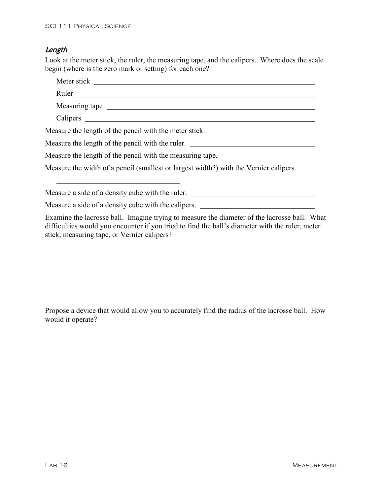stick, measuring tape, or Vernier calipers?

## Length

Look at the meter stick, the ruler, the measuring tape, and the calipers. Where does the scale begin (where is the zero mark or setting) for each one?

| Measuring tape                                                                                                                                                                                  |
|-------------------------------------------------------------------------------------------------------------------------------------------------------------------------------------------------|
|                                                                                                                                                                                                 |
| Measure the length of the pencil with the meter stick.                                                                                                                                          |
| Measure the length of the pencil with the ruler. ________________________________                                                                                                               |
| Measure the length of the pencil with the measuring tape. _______________________                                                                                                               |
| Measure the width of a pencil (smallest or largest width?) with the Vernier calipers.                                                                                                           |
| Measure a side of a density cube with the ruler. ________________________________                                                                                                               |
| Measure a side of a density cube with the calipers. _____________________________                                                                                                               |
| Examine the lacrosse ball. Imagine trying to measure the diameter of the lacrosse ball. What<br>difficulties would you encounter if you tried to find the ball's diameter with the ruler, meter |

Propose a device that would allow you to accurately find the radius of the lacrosse ball. How would it operate?